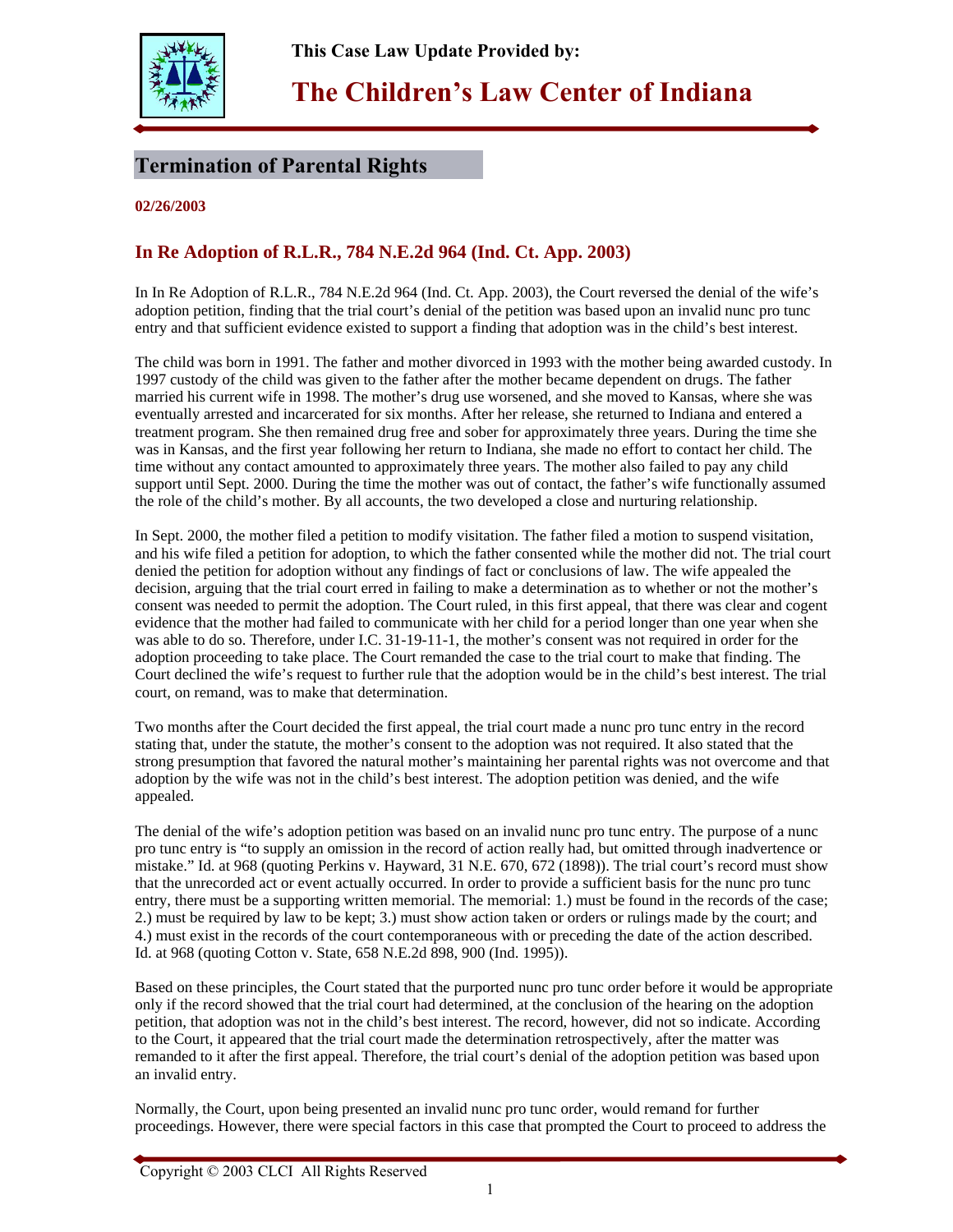

**This Case Law Update Provided by:** 

## **The Children's Law Center of Indiana**

## **Termination of Parental Rights**

**02/26/2003**

## **In Re Adoption of R.L.R., 784 N.E.2d 964 (Ind. Ct. App. 2003)**

In In Re Adoption of R.L.R., 784 N.E.2d 964 (Ind. Ct. App. 2003), the Court reversed the denial of the wife's adoption petition, finding that the trial court's denial of the petition was based upon an invalid nunc pro tunc entry and that sufficient evidence existed to support a finding that adoption was in the child's best interest.

The child was born in 1991. The father and mother divorced in 1993 with the mother being awarded custody. In 1997 custody of the child was given to the father after the mother became dependent on drugs. The father married his current wife in 1998. The mother's drug use worsened, and she moved to Kansas, where she was eventually arrested and incarcerated for six months. After her release, she returned to Indiana and entered a treatment program. She then remained drug free and sober for approximately three years. During the time she was in Kansas, and the first year following her return to Indiana, she made no effort to contact her child. The time without any contact amounted to approximately three years. The mother also failed to pay any child support until Sept. 2000. During the time the mother was out of contact, the father's wife functionally assumed the role of the child's mother. By all accounts, the two developed a close and nurturing relationship.

In Sept. 2000, the mother filed a petition to modify visitation. The father filed a motion to suspend visitation, and his wife filed a petition for adoption, to which the father consented while the mother did not. The trial court denied the petition for adoption without any findings of fact or conclusions of law. The wife appealed the decision, arguing that the trial court erred in failing to make a determination as to whether or not the mother's consent was needed to permit the adoption. The Court ruled, in this first appeal, that there was clear and cogent evidence that the mother had failed to communicate with her child for a period longer than one year when she was able to do so. Therefore, under I.C. 31-19-11-1, the mother's consent was not required in order for the adoption proceeding to take place. The Court remanded the case to the trial court to make that finding. The Court declined the wife's request to further rule that the adoption would be in the child's best interest. The trial court, on remand, was to make that determination.

Two months after the Court decided the first appeal, the trial court made a nunc pro tunc entry in the record stating that, under the statute, the mother's consent to the adoption was not required. It also stated that the strong presumption that favored the natural mother's maintaining her parental rights was not overcome and that adoption by the wife was not in the child's best interest. The adoption petition was denied, and the wife appealed.

The denial of the wife's adoption petition was based on an invalid nunc pro tunc entry. The purpose of a nunc pro tunc entry is "to supply an omission in the record of action really had, but omitted through inadvertence or mistake." Id. at 968 (quoting Perkins v. Hayward, 31 N.E. 670, 672 (1898)). The trial court's record must show that the unrecorded act or event actually occurred. In order to provide a sufficient basis for the nunc pro tunc entry, there must be a supporting written memorial. The memorial: 1.) must be found in the records of the case; 2.) must be required by law to be kept; 3.) must show action taken or orders or rulings made by the court; and 4.) must exist in the records of the court contemporaneous with or preceding the date of the action described. Id. at 968 (quoting Cotton v. State, 658 N.E.2d 898, 900 (Ind. 1995)).

Based on these principles, the Court stated that the purported nunc pro tunc order before it would be appropriate only if the record showed that the trial court had determined, at the conclusion of the hearing on the adoption petition, that adoption was not in the child's best interest. The record, however, did not so indicate. According to the Court, it appeared that the trial court made the determination retrospectively, after the matter was remanded to it after the first appeal. Therefore, the trial court's denial of the adoption petition was based upon an invalid entry.

Normally, the Court, upon being presented an invalid nunc pro tunc order, would remand for further proceedings. However, there were special factors in this case that prompted the Court to proceed to address the